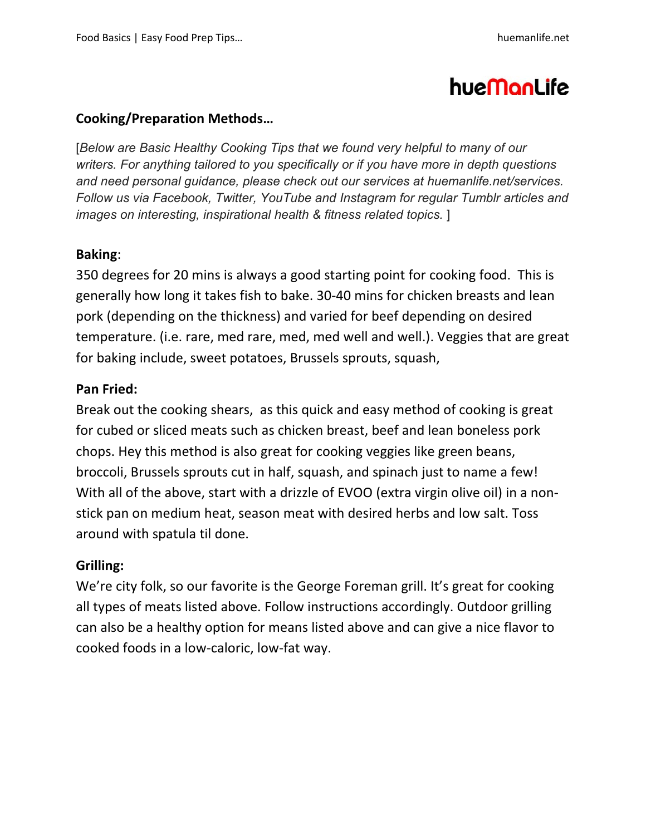# hueManLife

## **Cooking/Preparation Methods…**

[*Below are Basic Healthy Cooking Tips that we found very helpful to many of our writers. For anything tailored to you specifically or if you have more in depth questions and need personal guidance, please check out our services at huemanlife.net/services. Follow us via Facebook, Twitter, YouTube and Instagram for regular Tumblr articles and images on interesting, inspirational health & fitness related topics.* ]

#### **Baking**:

350 degrees for 20 mins is always a good starting point for cooking food.This is generally how long it takes fish to bake. 30-40 mins for chicken breasts and lean pork (depending on the thickness) and varied for beef depending on desired temperature. (i.e. rare, med rare, med, med well and well.). Veggies that are great for baking include, sweet potatoes, Brussels sprouts, squash,

## **Pan Fried:**

Break out the cooking shears, as this quick and easy method of cooking is great for cubed or sliced meats such as chicken breast, beef and lean boneless pork chops. Hey this method is also great for cooking veggies like green beans, broccoli, Brussels sprouts cut in half, squash, and spinach just to name a few! With all of the above, start with a drizzle of EVOO (extra virgin olive oil) in a nonstick pan on medium heat, season meat with desired herbs and low salt. Toss around with spatula til done.

# **Grilling:**

We're city folk, so our favorite is the George Foreman grill. It's great for cooking all types of meats listed above. Follow instructions accordingly. Outdoor grilling can also be a healthy option for means listed above and can give a nice flavor to cooked foods in a low-caloric, low-fat way.